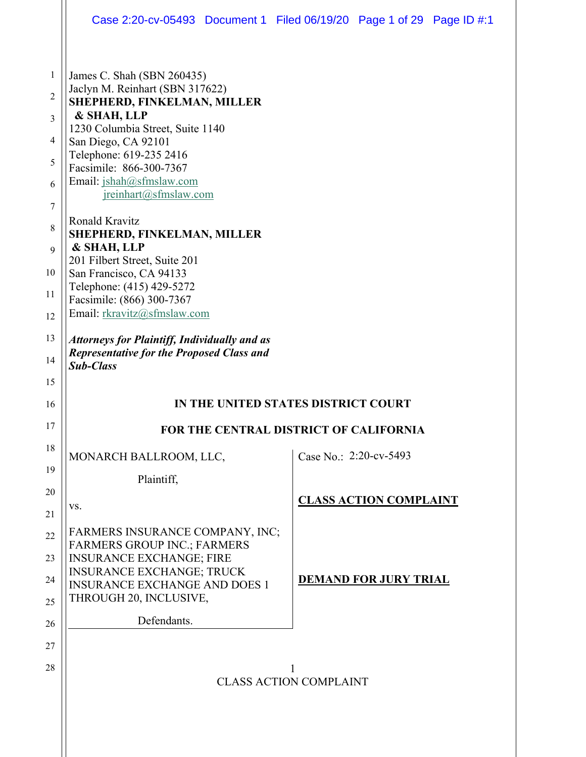|                                         | Case 2:20-cv-05493 Document 1 Filed 06/19/20 Page 1 of 29 Page ID #:1                                                                                                                                                                                                               |                                        |                               |  |
|-----------------------------------------|-------------------------------------------------------------------------------------------------------------------------------------------------------------------------------------------------------------------------------------------------------------------------------------|----------------------------------------|-------------------------------|--|
| 1<br>$\overline{2}$<br>3<br>4<br>5<br>6 | James C. Shah (SBN 260435)<br>Jaclyn M. Reinhart (SBN 317622)<br>SHEPHERD, FINKELMAN, MILLER<br>& SHAH, LLP<br>1230 Columbia Street, Suite 1140<br>San Diego, CA 92101<br>Telephone: 619-235 2416<br>Facsimile: 866-300-7367<br>Email: jshah@sfmslaw.com<br>ireinhart(@sfmslaw.com) |                                        |                               |  |
| 7<br>8<br>9<br>10<br>11<br>12           | Ronald Kravitz<br>SHEPHERD, FINKELMAN, MILLER<br>& SHAH, LLP<br>201 Filbert Street, Suite 201<br>San Francisco, CA 94133<br>Telephone: (415) 429-5272<br>Facsimile: (866) 300-7367<br>Email: rkravitz@sfmslaw.com                                                                   |                                        |                               |  |
| 13<br>14<br>15                          | <b>Attorneys for Plaintiff, Individually and as</b><br><b>Representative for the Proposed Class and</b><br><b>Sub-Class</b>                                                                                                                                                         |                                        |                               |  |
| 16                                      |                                                                                                                                                                                                                                                                                     | IN THE UNITED STATES DISTRICT COURT    |                               |  |
| 17                                      |                                                                                                                                                                                                                                                                                     | FOR THE CENTRAL DISTRICT OF CALIFORNIA |                               |  |
| 18                                      | MONARCH BALLROOM, LLC,                                                                                                                                                                                                                                                              |                                        | Case No.: $2:20$ -cv-5493     |  |
| 19<br>20<br>21                          | Plaintiff,<br>VS.                                                                                                                                                                                                                                                                   |                                        | <b>CLASS ACTION COMPLAINT</b> |  |
| 22<br>23<br>24<br>25                    | FARMERS INSURANCE COMPANY, INC;<br><b>FARMERS GROUP INC.; FARMERS</b><br><b>INSURANCE EXCHANGE; FIRE</b><br><b>INSURANCE EXCHANGE; TRUCK</b><br><b>INSURANCE EXCHANGE AND DOES 1</b><br>THROUGH 20, INCLUSIVE,                                                                      |                                        | <b>DEMAND FOR JURY TRIAL</b>  |  |
| 26                                      | Defendants.                                                                                                                                                                                                                                                                         |                                        |                               |  |
| 27<br>28                                |                                                                                                                                                                                                                                                                                     | <b>CLASS ACTION COMPLAINT</b>          |                               |  |
|                                         |                                                                                                                                                                                                                                                                                     |                                        |                               |  |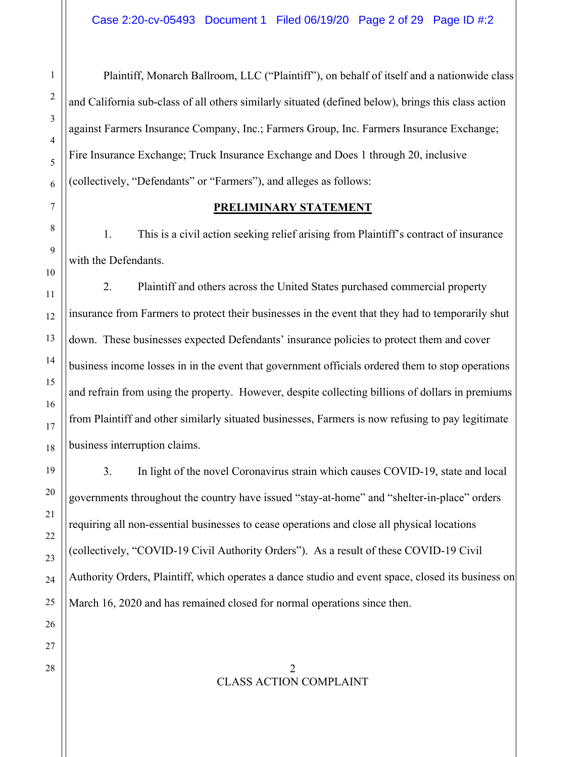Plaintiff, Monarch Ballroom, LLC ("Plaintiff"), on behalf of itself and a nationwide class and California sub-class of all others similarly situated (defined below), brings this class action against Farmers Insurance Company, Inc.; Farmers Group, Inc. Farmers Insurance Exchange; Fire Insurance Exchange; Truck Insurance Exchange and Does 1 through 20, inclusive (collectively, "Defendants" or "Farmers"), and alleges as follows:

## **PRELIMINARY STATEMENT**

1. This is a civil action seeking relief arising from Plaintiff's contract of insurance with the Defendants.

2. Plaintiff and others across the United States purchased commercial property insurance from Farmers to protect their businesses in the event that they had to temporarily shut down. These businesses expected Defendants' insurance policies to protect them and cover business income losses in in the event that government officials ordered them to stop operations and refrain from using the property. However, despite collecting billions of dollars in premiums from Plaintiff and other similarly situated businesses, Farmers is now refusing to pay legitimate business interruption claims.

3. In light of the novel Coronavirus strain which causes COVID-19, state and local governments throughout the country have issued "stay-at-home" and "shelter-in-place" orders requiring all non-essential businesses to cease operations and close all physical locations (collectively, "COVID-19 Civil Authority Orders"). As a result of these COVID-19 Civil Authority Orders, Plaintiff, which operates a dance studio and event space, closed its business on March 16, 2020 and has remained closed for normal operations since then.

 $28 \parallel$  2 CLASS ACTION COMPLAINT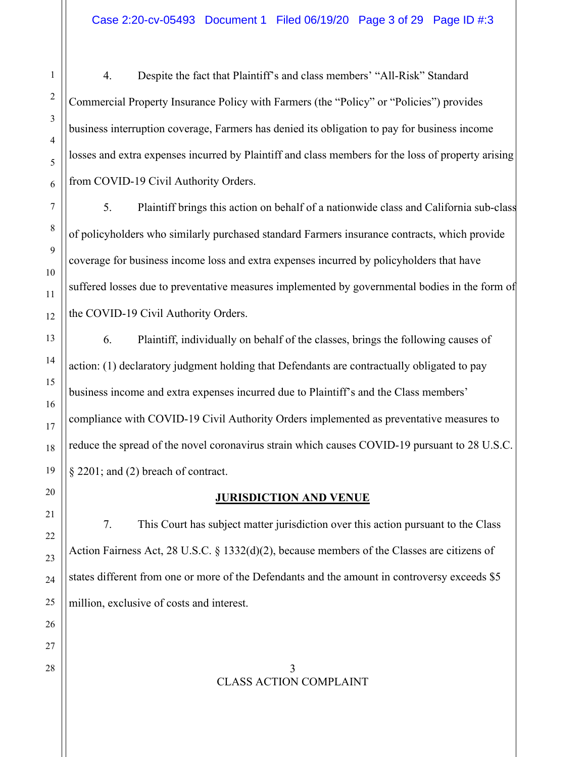4. Despite the fact that Plaintiff's and class members' "All-Risk" Standard Commercial Property Insurance Policy with Farmers (the "Policy" or "Policies") provides business interruption coverage, Farmers has denied its obligation to pay for business income losses and extra expenses incurred by Plaintiff and class members for the loss of property arising from COVID-19 Civil Authority Orders.

5. Plaintiff brings this action on behalf of a nationwide class and California sub-class of policyholders who similarly purchased standard Farmers insurance contracts, which provide coverage for business income loss and extra expenses incurred by policyholders that have suffered losses due to preventative measures implemented by governmental bodies in the form of the COVID-19 Civil Authority Orders.

6. Plaintiff, individually on behalf of the classes, brings the following causes of action: (1) declaratory judgment holding that Defendants are contractually obligated to pay business income and extra expenses incurred due to Plaintiff's and the Class members' compliance with COVID-19 Civil Authority Orders implemented as preventative measures to reduce the spread of the novel coronavirus strain which causes COVID-19 pursuant to 28 U.S.C. § 2201; and (2) breach of contract.

**JURISDICTION AND VENUE**

7. This Court has subject matter jurisdiction over this action pursuant to the Class Action Fairness Act, 28 U.S.C. § 1332(d)(2), because members of the Classes are citizens of states different from one or more of the Defendants and the amount in controversy exceeds \$5 million, exclusive of costs and interest.

 $28 \parallel$  3 CLASS ACTION COMPLAINT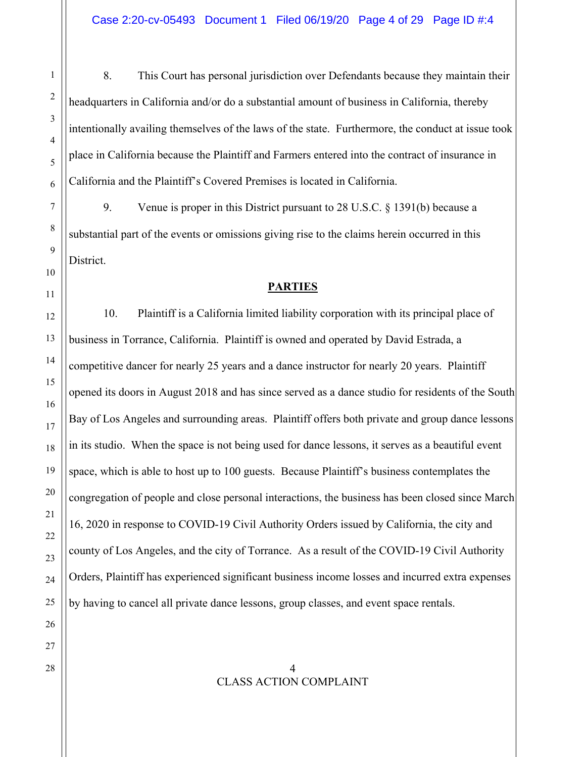8. This Court has personal jurisdiction over Defendants because they maintain their headquarters in California and/or do a substantial amount of business in California, thereby intentionally availing themselves of the laws of the state. Furthermore, the conduct at issue took place in California because the Plaintiff and Farmers entered into the contract of insurance in California and the Plaintiff's Covered Premises is located in California.

9. Venue is proper in this District pursuant to 28 U.S.C. § 1391(b) because a substantial part of the events or omissions giving rise to the claims herein occurred in this District.

### **PARTIES**

10. Plaintiff is a California limited liability corporation with its principal place of business in Torrance, California. Plaintiff is owned and operated by David Estrada, a competitive dancer for nearly 25 years and a dance instructor for nearly 20 years. Plaintiff opened its doors in August 2018 and has since served as a dance studio for residents of the South Bay of Los Angeles and surrounding areas. Plaintiff offers both private and group dance lessons in its studio. When the space is not being used for dance lessons, it serves as a beautiful event space, which is able to host up to 100 guests. Because Plaintiff's business contemplates the congregation of people and close personal interactions, the business has been closed since March 16, 2020 in response to COVID-19 Civil Authority Orders issued by California, the city and county of Los Angeles, and the city of Torrance. As a result of the COVID-19 Civil Authority Orders, Plaintiff has experienced significant business income losses and incurred extra expenses by having to cancel all private dance lessons, group classes, and event space rentals.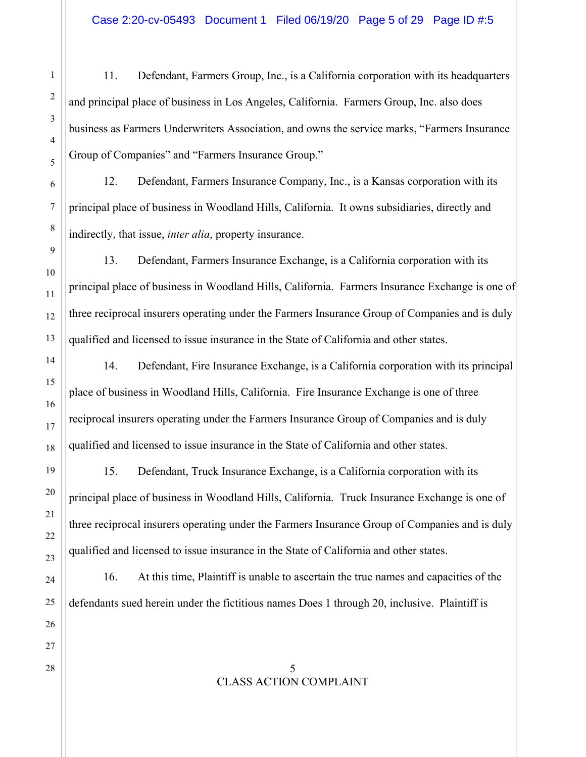11. Defendant, Farmers Group, Inc., is a California corporation with its headquarters and principal place of business in Los Angeles, California. Farmers Group, Inc. also does business as Farmers Underwriters Association, and owns the service marks, "Farmers Insurance Group of Companies" and "Farmers Insurance Group."

12. Defendant, Farmers Insurance Company, Inc., is a Kansas corporation with its principal place of business in Woodland Hills, California. It owns subsidiaries, directly and indirectly, that issue, *inter alia*, property insurance.

13. Defendant, Farmers Insurance Exchange, is a California corporation with its principal place of business in Woodland Hills, California. Farmers Insurance Exchange is one of three reciprocal insurers operating under the Farmers Insurance Group of Companies and is duly qualified and licensed to issue insurance in the State of California and other states.

14. Defendant, Fire Insurance Exchange, is a California corporation with its principal place of business in Woodland Hills, California. Fire Insurance Exchange is one of three reciprocal insurers operating under the Farmers Insurance Group of Companies and is duly qualified and licensed to issue insurance in the State of California and other states.

15. Defendant, Truck Insurance Exchange, is a California corporation with its principal place of business in Woodland Hills, California. Truck Insurance Exchange is one of three reciprocal insurers operating under the Farmers Insurance Group of Companies and is duly qualified and licensed to issue insurance in the State of California and other states.

16. At this time, Plaintiff is unable to ascertain the true names and capacities of the defendants sued herein under the fictitious names Does 1 through 20, inclusive. Plaintiff is

### $28 \parallel$  5 CLASS ACTION COMPLAINT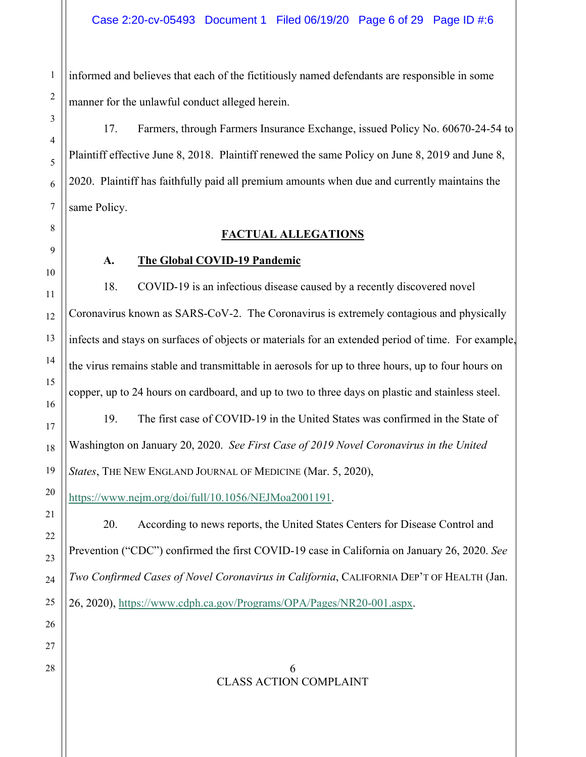informed and believes that each of the fictitiously named defendants are responsible in some manner for the unlawful conduct alleged herein.

17. Farmers, through Farmers Insurance Exchange, issued Policy No. 60670-24-54 to Plaintiff effective June 8, 2018. Plaintiff renewed the same Policy on June 8, 2019 and June 8, 2020. Plaintiff has faithfully paid all premium amounts when due and currently maintains the same Policy.

## **FACTUAL ALLEGATIONS**

## **A. The Global COVID-19 Pandemic**

18. COVID-19 is an infectious disease caused by a recently discovered novel Coronavirus known as SARS-CoV-2. The Coronavirus is extremely contagious and physically infects and stays on surfaces of objects or materials for an extended period of time. For example, the virus remains stable and transmittable in aerosols for up to three hours, up to four hours on copper, up to 24 hours on cardboard, and up to two to three days on plastic and stainless steel.

19. The first case of COVID-19 in the United States was confirmed in the State of Washington on January 20, 2020. *See First Case of 2019 Novel Coronavirus in the United States*, THE NEW ENGLAND JOURNAL OF MEDICINE (Mar. 5, 2020),

https://www.nejm.org/doi/full/10.1056/NEJMoa2001191.

20. According to news reports, the United States Centers for Disease Control and Prevention ("CDC") confirmed the first COVID-19 case in California on January 26, 2020. *See Two Confirmed Cases of Novel Coronavirus in California*, CALIFORNIA DEP'T OF HEALTH (Jan. 26, 2020), https://www.cdph.ca.gov/Programs/OPA/Pages/NR20-001.aspx.

### 28 6 CLASS ACTION COMPLAINT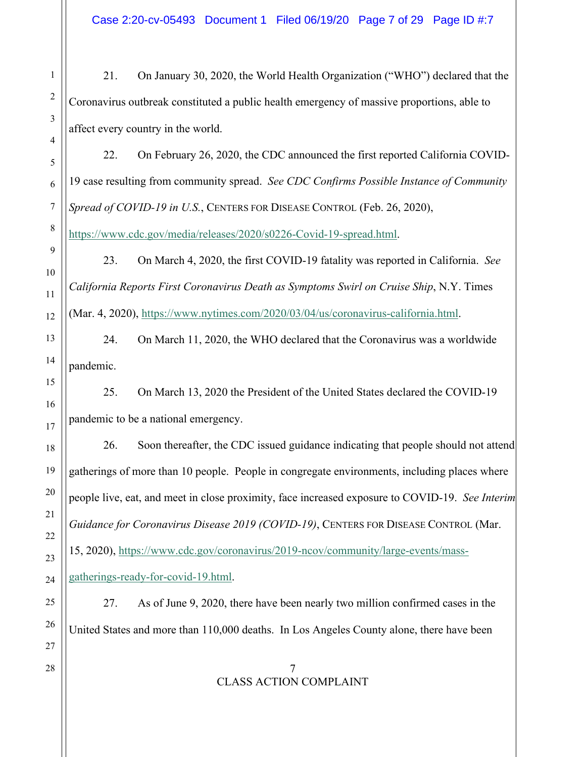Case 2:20-cv-05493 Document 1 Filed 06/19/20 Page 7 of 29 Page ID #:7

21. On January 30, 2020, the World Health Organization ("WHO") declared that the Coronavirus outbreak constituted a public health emergency of massive proportions, able to affect every country in the world.

22. On February 26, 2020, the CDC announced the first reported California COVID-19 case resulting from community spread. *See CDC Confirms Possible Instance of Community Spread of COVID-19 in U.S.*, CENTERS FOR DISEASE CONTROL (Feb. 26, 2020),

https://www.cdc.gov/media/releases/2020/s0226-Covid-19-spread.html.

23. On March 4, 2020, the first COVID-19 fatality was reported in California. *See California Reports First Coronavirus Death as Symptoms Swirl on Cruise Ship*, N.Y. Times (Mar. 4, 2020), https://www.nytimes.com/2020/03/04/us/coronavirus-california.html.

24. On March 11, 2020, the WHO declared that the Coronavirus was a worldwide pandemic.

25. On March 13, 2020 the President of the United States declared the COVID-19 pandemic to be a national emergency.

26. Soon thereafter, the CDC issued guidance indicating that people should not attend gatherings of more than 10 people. People in congregate environments, including places where people live, eat, and meet in close proximity, face increased exposure to COVID-19. *See Interim Guidance for Coronavirus Disease 2019 (COVID-19)*, CENTERS FOR DISEASE CONTROL (Mar. 15, 2020), https://www.cdc.gov/coronavirus/2019-ncov/community/large-events/mass-

gatherings-ready-for-covid-19.html.

27. As of June 9, 2020, there have been nearly two million confirmed cases in the United States and more than 110,000 deaths. In Los Angeles County alone, there have been

 $28 \parallel$  7 CLASS ACTION COMPLAINT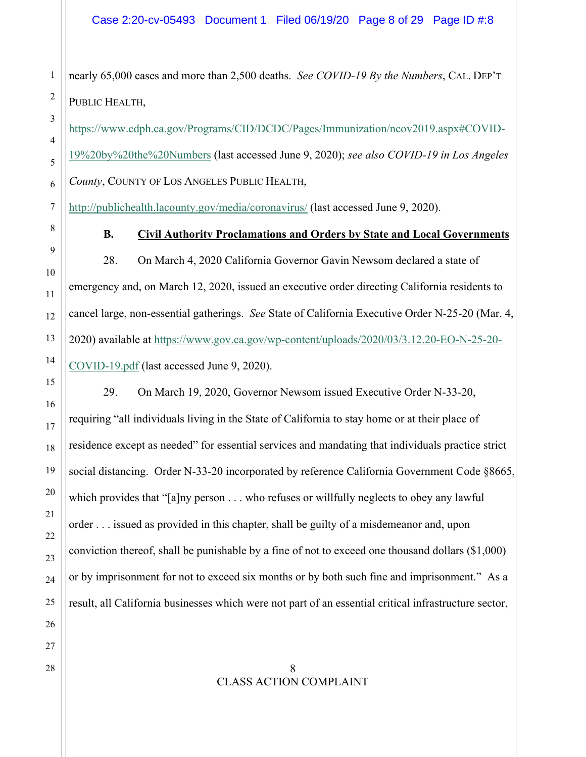nearly 65,000 cases and more than 2,500 deaths. *See COVID-19 By the Numbers*, CAL. DEP'T PUBLIC HEALTH,

https://www.cdph.ca.gov/Programs/CID/DCDC/Pages/Immunization/ncov2019.aspx#COVID-19%20by%20the%20Numbers (last accessed June 9, 2020); *see also COVID-19 in Los Angeles County*, COUNTY OF LOS ANGELES PUBLIC HEALTH,

http://publichealth.lacounty.gov/media/coronavirus/ (last accessed June 9, 2020).

## **B. Civil Authority Proclamations and Orders by State and Local Governments**

28. On March 4, 2020 California Governor Gavin Newsom declared a state of emergency and, on March 12, 2020, issued an executive order directing California residents to cancel large, non-essential gatherings. *See* State of California Executive Order N-25-20 (Mar. 4, 2020) available at https://www.gov.ca.gov/wp-content/uploads/2020/03/3.12.20-EO-N-25-20- COVID-19.pdf (last accessed June 9, 2020).

29. On March 19, 2020, Governor Newsom issued Executive Order N-33-20, requiring "all individuals living in the State of California to stay home or at their place of residence except as needed" for essential services and mandating that individuals practice strict social distancing. Order N-33-20 incorporated by reference California Government Code §8665, which provides that "[a]ny person . . . who refuses or willfully neglects to obey any lawful order . . . issued as provided in this chapter, shall be guilty of a misdemeanor and, upon conviction thereof, shall be punishable by a fine of not to exceed one thousand dollars (\$1,000) or by imprisonment for not to exceed six months or by both such fine and imprisonment." As a result, all California businesses which were not part of an essential critical infrastructure sector,

 $28 \parallel$  8 CLASS ACTION COMPLAINT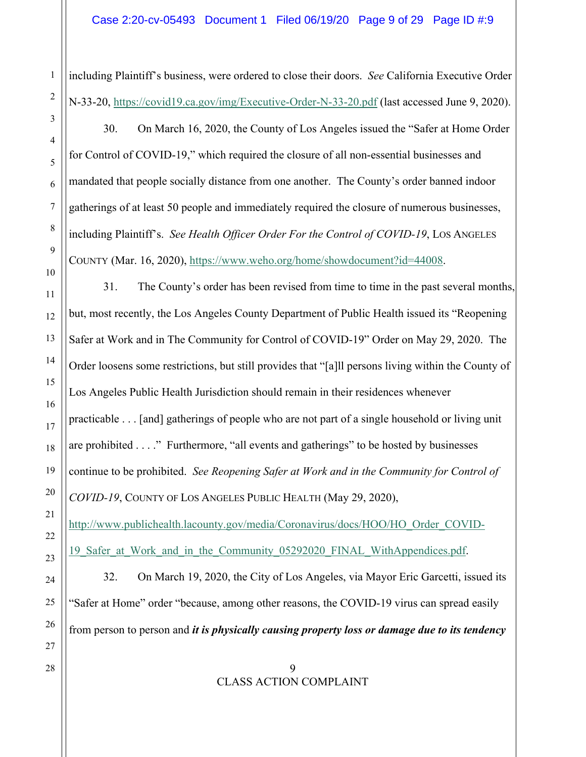including Plaintiff's business, were ordered to close their doors. *See* California Executive Order N-33-20, https://covid19.ca.gov/img/Executive-Order-N-33-20.pdf (last accessed June 9, 2020).

30. On March 16, 2020, the County of Los Angeles issued the "Safer at Home Order for Control of COVID-19," which required the closure of all non-essential businesses and mandated that people socially distance from one another. The County's order banned indoor gatherings of at least 50 people and immediately required the closure of numerous businesses, including Plaintiff's. *See Health Officer Order For the Control of COVID-19*, LOS ANGELES COUNTY (Mar. 16, 2020), https://www.weho.org/home/showdocument?id=44008.

31. The County's order has been revised from time to time in the past several months, but, most recently, the Los Angeles County Department of Public Health issued its "Reopening Safer at Work and in The Community for Control of COVID-19" Order on May 29, 2020. The Order loosens some restrictions, but still provides that "[a]ll persons living within the County of Los Angeles Public Health Jurisdiction should remain in their residences whenever practicable . . . [and] gatherings of people who are not part of a single household or living unit are prohibited . . . ." Furthermore, "all events and gatherings" to be hosted by businesses continue to be prohibited. *See Reopening Safer at Work and in the Community for Control of COVID-19*, COUNTY OF LOS ANGELES PUBLIC HEALTH (May 29, 2020), http://www.publichealth.lacounty.gov/media/Coronavirus/docs/HOO/HO\_Order\_COVID-19 Safer at Work and in the Community 05292020 FINAL WithAppendices.pdf. 32. On March 19, 2020, the City of Los Angeles, via Mayor Eric Garcetti, issued its "Safer at Home" order "because, among other reasons, the COVID-19 virus can spread easily from person to person and *it is physically causing property loss or damage due to its tendency*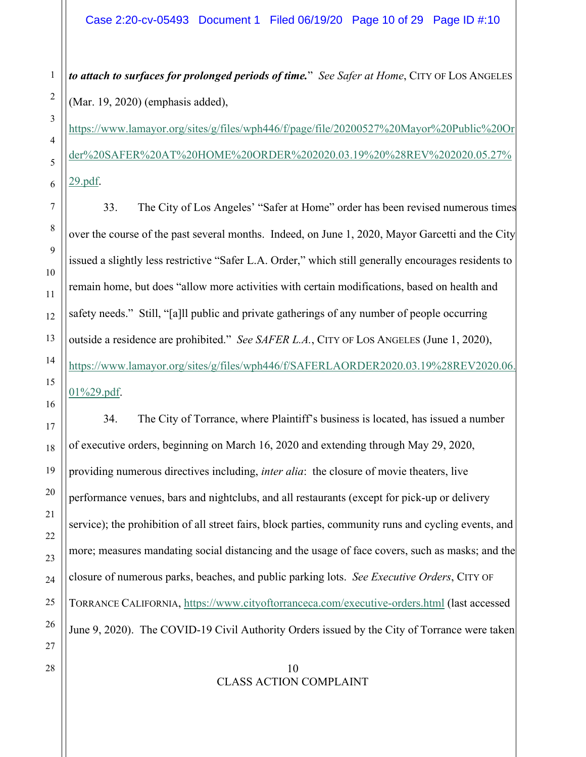*to attach to surfaces for prolonged periods of time.*" *See Safer at Home*, CITY OF LOS ANGELES (Mar. 19, 2020) (emphasis added),

https://www.lamayor.org/sites/g/files/wph446/f/page/file/20200527%20Mayor%20Public%20Or der%20SAFER%20AT%20HOME%20ORDER%202020.03.19%20%28REV%202020.05.27% 29.pdf.

33. The City of Los Angeles' "Safer at Home" order has been revised numerous times over the course of the past several months. Indeed, on June 1, 2020, Mayor Garcetti and the City issued a slightly less restrictive "Safer L.A. Order," which still generally encourages residents to remain home, but does "allow more activities with certain modifications, based on health and safety needs." Still, "[a]ll public and private gatherings of any number of people occurring outside a residence are prohibited." *See SAFER L.A.*, CITY OF LOS ANGELES (June 1, 2020), https://www.lamayor.org/sites/g/files/wph446/f/SAFERLAORDER2020.03.19%28REV2020.06. 01%29.pdf.

34. The City of Torrance, where Plaintiff's business is located, has issued a number of executive orders, beginning on March 16, 2020 and extending through May 29, 2020, providing numerous directives including, *inter alia*: the closure of movie theaters, live performance venues, bars and nightclubs, and all restaurants (except for pick-up or delivery service); the prohibition of all street fairs, block parties, community runs and cycling events, and more; measures mandating social distancing and the usage of face covers, such as masks; and the closure of numerous parks, beaches, and public parking lots. *See Executive Orders*, CITY OF TORRANCE CALIFORNIA, https://www.cityoftorranceca.com/executive-orders.html (last accessed June 9, 2020). The COVID-19 Civil Authority Orders issued by the City of Torrance were taken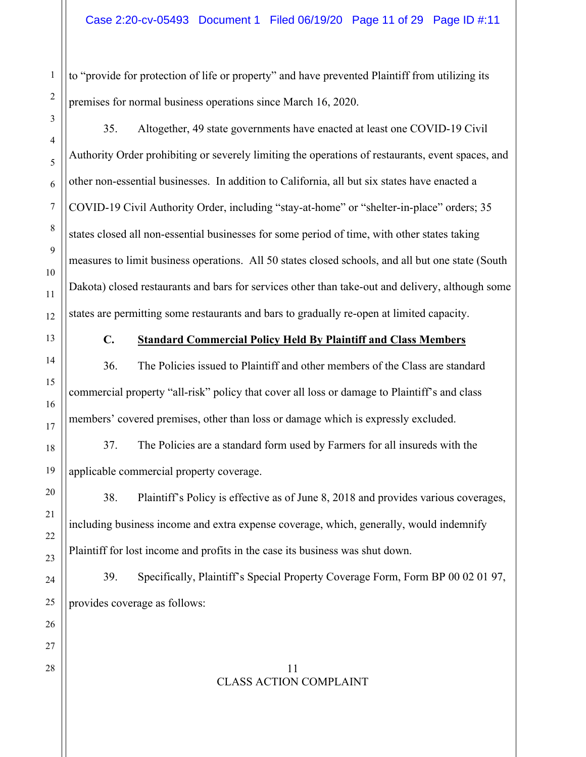to "provide for protection of life or property" and have prevented Plaintiff from utilizing its premises for normal business operations since March 16, 2020.

35. Altogether, 49 state governments have enacted at least one COVID-19 Civil Authority Order prohibiting or severely limiting the operations of restaurants, event spaces, and other non-essential businesses. In addition to California, all but six states have enacted a COVID-19 Civil Authority Order, including "stay-at-home" or "shelter-in-place" orders; 35 states closed all non-essential businesses for some period of time, with other states taking measures to limit business operations. All 50 states closed schools, and all but one state (South Dakota) closed restaurants and bars for services other than take-out and delivery, although some states are permitting some restaurants and bars to gradually re-open at limited capacity.

## **C. Standard Commercial Policy Held By Plaintiff and Class Members**

36. The Policies issued to Plaintiff and other members of the Class are standard commercial property "all-risk" policy that cover all loss or damage to Plaintiff's and class members' covered premises, other than loss or damage which is expressly excluded.

37. The Policies are a standard form used by Farmers for all insureds with the applicable commercial property coverage.

38. Plaintiff's Policy is effective as of June 8, 2018 and provides various coverages, including business income and extra expense coverage, which, generally, would indemnify Plaintiff for lost income and profits in the case its business was shut down.

39. Specifically, Plaintiff's Special Property Coverage Form, Form BP 00 02 01 97, provides coverage as follows:

### $28 \parallel$  11 CLASS ACTION COMPLAINT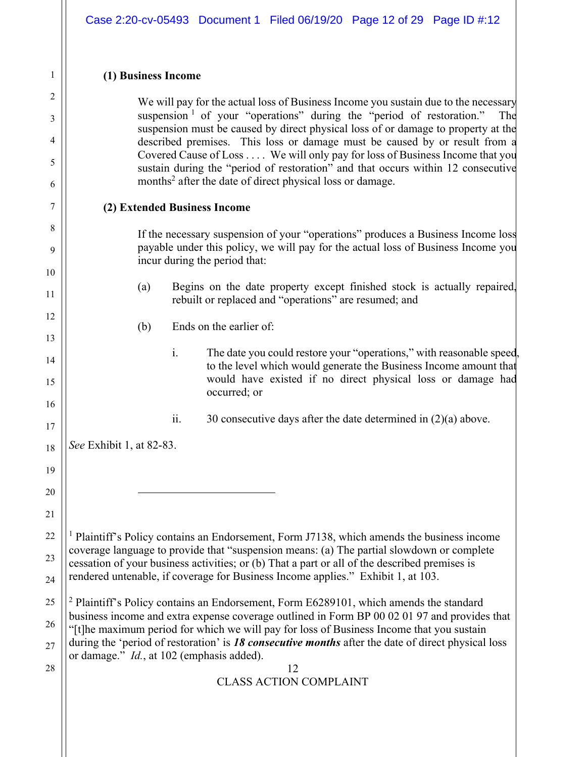## **(1) Business Income**

We will pay for the actual loss of Business Income you sustain due to the necessary suspension  $1$  of your "operations" during the "period of restoration." The suspension must be caused by direct physical loss of or damage to property at the described premises. This loss or damage must be caused by or result from a Covered Cause of Loss . . . . We will only pay for loss of Business Income that you sustain during the "period of restoration" and that occurs within 12 consecutive months<sup>2</sup> after the date of direct physical loss or damage.

### **(2) Extended Business Income**

If the necessary suspension of your "operations" produces a Business Income loss payable under this policy, we will pay for the actual loss of Business Income you incur during the period that:

- (a) Begins on the date property except finished stock is actually repaired, rebuilt or replaced and "operations" are resumed; and
- (b) Ends on the earlier of:
	- i. The date you could restore your "operations," with reasonable speed, to the level which would generate the Business Income amount that would have existed if no direct physical loss or damage had occurred; or
	- ii. 30 consecutive days after the date determined in (2)(a) above.

*See* Exhibit 1, at 82-83.

<sup>1</sup> Plaintiff's Policy contains an Endorsement, Form J7138, which amends the business income coverage language to provide that "suspension means: (a) The partial slowdown or complete cessation of your business activities; or (b) That a part or all of the described premises is rendered untenable, if coverage for Business Income applies." Exhibit 1, at 103.

<sup>2</sup> Plaintiff's Policy contains an Endorsement, Form E6289101, which amends the standard business income and extra expense coverage outlined in Form BP 00 02 01 97 and provides that "[t]he maximum period for which we will pay for loss of Business Income that you sustain during the 'period of restoration' is *18 consecutive months* after the date of direct physical loss or damage." *Id.*, at 102 (emphasis added).

 $28 \parallel$  12 CLASS ACTION COMPLAINT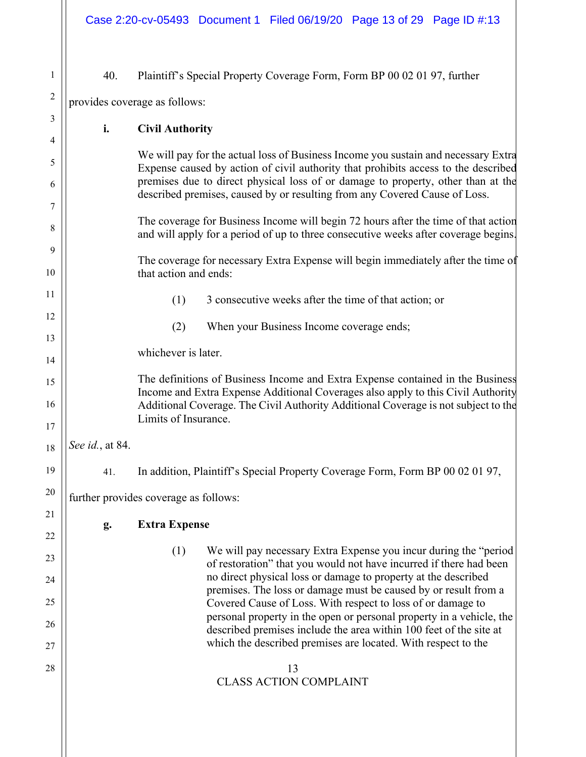| 1              | 40.<br>Plaintiff's Special Property Coverage Form, Form BP 00 02 01 97, further   |                                                                                                                                                                           |  |  |  |
|----------------|-----------------------------------------------------------------------------------|---------------------------------------------------------------------------------------------------------------------------------------------------------------------------|--|--|--|
| $\overline{c}$ | provides coverage as follows:                                                     |                                                                                                                                                                           |  |  |  |
| 3              | i.<br><b>Civil Authority</b>                                                      |                                                                                                                                                                           |  |  |  |
| 4              |                                                                                   | We will pay for the actual loss of Business Income you sustain and necessary Extra                                                                                        |  |  |  |
| 5<br>6         |                                                                                   | Expense caused by action of civil authority that prohibits access to the described<br>premises due to direct physical loss of or damage to property, other than at the    |  |  |  |
| 7              |                                                                                   | described premises, caused by or resulting from any Covered Cause of Loss.                                                                                                |  |  |  |
| 8              |                                                                                   | The coverage for Business Income will begin 72 hours after the time of that action<br>and will apply for a period of up to three consecutive weeks after coverage begins. |  |  |  |
| 9              | The coverage for necessary Extra Expense will begin immediately after the time of |                                                                                                                                                                           |  |  |  |
| 10             |                                                                                   | that action and ends:                                                                                                                                                     |  |  |  |
| 11             |                                                                                   | (1)<br>3 consecutive weeks after the time of that action; or                                                                                                              |  |  |  |
| 12<br>13       |                                                                                   | (2)<br>When your Business Income coverage ends;                                                                                                                           |  |  |  |
| 14             | whichever is later.                                                               |                                                                                                                                                                           |  |  |  |
| 15             |                                                                                   | The definitions of Business Income and Extra Expense contained in the Business<br>Income and Extra Expense Additional Coverages also apply to this Civil Authority        |  |  |  |
| 16<br>17       |                                                                                   | Additional Coverage. The Civil Authority Additional Coverage is not subject to the<br>Limits of Insurance.                                                                |  |  |  |
| 18             | See id., at 84.                                                                   |                                                                                                                                                                           |  |  |  |
| 19             | 41.                                                                               | In addition, Plaintiff's Special Property Coverage Form, Form BP 00 02 01 97,                                                                                             |  |  |  |
| 20             | further provides coverage as follows:                                             |                                                                                                                                                                           |  |  |  |
| 21             | <b>Extra Expense</b>                                                              |                                                                                                                                                                           |  |  |  |
| 22             | g.                                                                                |                                                                                                                                                                           |  |  |  |
| 23             |                                                                                   | (1)<br>We will pay necessary Extra Expense you incur during the "period"<br>of restoration" that you would not have incurred if there had been                            |  |  |  |
| 24             |                                                                                   | no direct physical loss or damage to property at the described<br>premises. The loss or damage must be caused by or result from a                                         |  |  |  |
| 25             |                                                                                   | Covered Cause of Loss. With respect to loss of or damage to<br>personal property in the open or personal property in a vehicle, the                                       |  |  |  |
| 26<br>27       |                                                                                   | described premises include the area within 100 feet of the site at<br>which the described premises are located. With respect to the                                       |  |  |  |
| 28             | 13                                                                                |                                                                                                                                                                           |  |  |  |
|                | <b>CLASS ACTION COMPLAINT</b>                                                     |                                                                                                                                                                           |  |  |  |
|                |                                                                                   |                                                                                                                                                                           |  |  |  |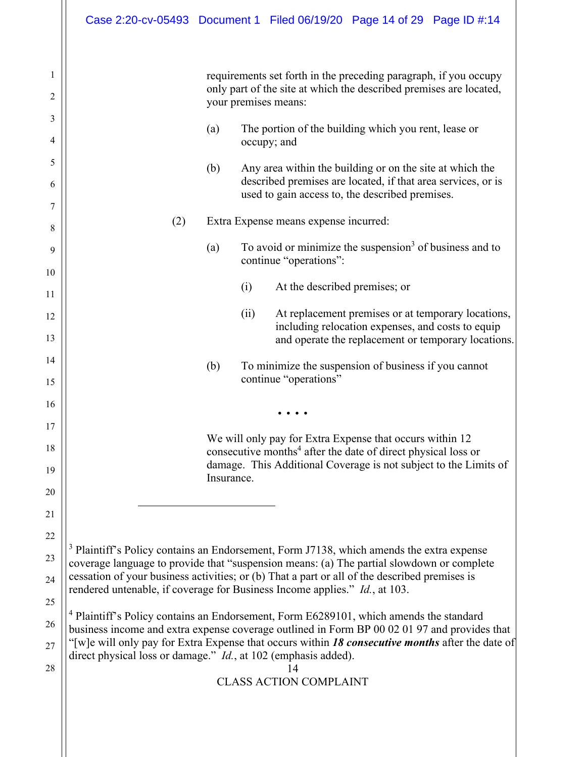|                                                 | Case 2:20-cv-05493 Document 1 Filed 06/19/20 Page 14 of 29 Page ID #:14                                                                                                                                                                                                                                                                                                                                                                                                                                                                                                                                                                                                                                                                                                                           |                                                  |                                                                                                                                                                                                                                                                                                                                                                                                                                                                                                                                                                         |                                                   |                                                                                                           |
|-------------------------------------------------|---------------------------------------------------------------------------------------------------------------------------------------------------------------------------------------------------------------------------------------------------------------------------------------------------------------------------------------------------------------------------------------------------------------------------------------------------------------------------------------------------------------------------------------------------------------------------------------------------------------------------------------------------------------------------------------------------------------------------------------------------------------------------------------------------|--------------------------------------------------|-------------------------------------------------------------------------------------------------------------------------------------------------------------------------------------------------------------------------------------------------------------------------------------------------------------------------------------------------------------------------------------------------------------------------------------------------------------------------------------------------------------------------------------------------------------------------|---------------------------------------------------|-----------------------------------------------------------------------------------------------------------|
| 1<br>2<br>3<br>4<br>5<br>6<br>7<br>8<br>9<br>10 | (2)                                                                                                                                                                                                                                                                                                                                                                                                                                                                                                                                                                                                                                                                                                                                                                                               | your premises means:<br>(a)<br>(b)<br>(a)<br>(i) | requirements set forth in the preceding paragraph, if you occupy<br>only part of the site at which the described premises are located,<br>The portion of the building which you rent, lease or<br>occupy; and<br>Any area within the building or on the site at which the<br>described premises are located, if that area services, or is<br>used to gain access to, the described premises.<br>Extra Expense means expense incurred:<br>To avoid or minimize the suspension <sup>3</sup> of business and to<br>continue "operations":<br>At the described premises; or |                                                   |                                                                                                           |
| 11<br>12<br>13<br>14<br>15                      |                                                                                                                                                                                                                                                                                                                                                                                                                                                                                                                                                                                                                                                                                                                                                                                                   | (ii)<br>(b)                                      | To minimize the suspension of business if you cannot<br>continue "operations"                                                                                                                                                                                                                                                                                                                                                                                                                                                                                           | including relocation expenses, and costs to equip | At replacement premises or at temporary locations,<br>and operate the replacement or temporary locations. |
| 16<br>17<br>18<br>19<br>20<br>21                |                                                                                                                                                                                                                                                                                                                                                                                                                                                                                                                                                                                                                                                                                                                                                                                                   | Insurance.                                       | We will only pay for Extra Expense that occurs within 12<br>consecutive months <sup>4</sup> after the date of direct physical loss or<br>damage. This Additional Coverage is not subject to the Limits of                                                                                                                                                                                                                                                                                                                                                               |                                                   |                                                                                                           |
| 22<br>23<br>24<br>25<br>26<br>27<br>28          | <sup>3</sup> Plaintiff's Policy contains an Endorsement, Form J7138, which amends the extra expense<br>coverage language to provide that "suspension means: (a) The partial slowdown or complete<br>cessation of your business activities; or (b) That a part or all of the described premises is<br>rendered untenable, if coverage for Business Income applies." Id., at 103.<br><sup>4</sup> Plaintiff's Policy contains an Endorsement, Form E6289101, which amends the standard<br>business income and extra expense coverage outlined in Form BP 00 02 01 97 and provides that<br>"[w]e will only pay for Extra Expense that occurs within 18 consecutive months after the date of<br>direct physical loss or damage." Id., at 102 (emphasis added).<br>14<br><b>CLASS ACTION COMPLAINT</b> |                                                  |                                                                                                                                                                                                                                                                                                                                                                                                                                                                                                                                                                         |                                                   |                                                                                                           |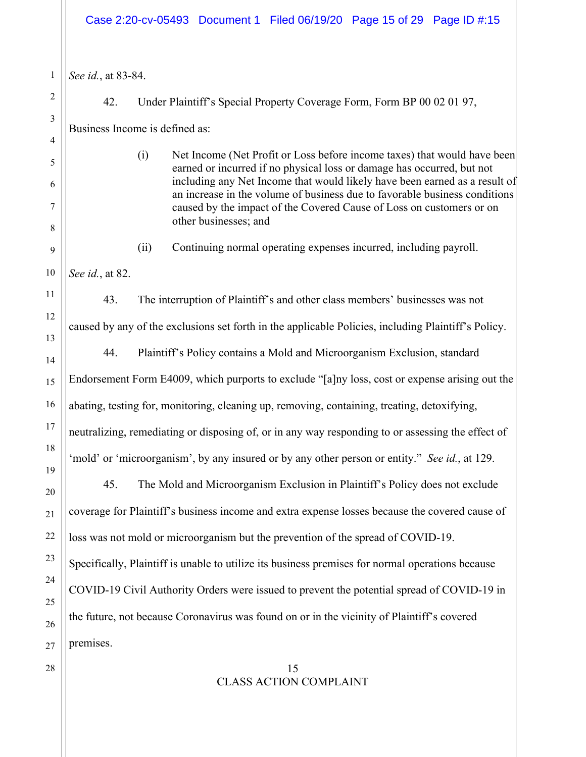1 2 3 4 5 6 7 8 9 10 11 12 13 14 15 16 17 18 19 20 21 22 23 24 25 26 27  $28 \parallel$  15 CLASS ACTION COMPLAINT *See id.*, at 83-84. 42. Under Plaintiff's Special Property Coverage Form, Form BP 00 02 01 97, Business Income is defined as: (i) Net Income (Net Profit or Loss before income taxes) that would have been earned or incurred if no physical loss or damage has occurred, but not including any Net Income that would likely have been earned as a result of an increase in the volume of business due to favorable business conditions caused by the impact of the Covered Cause of Loss on customers or on other businesses; and (ii) Continuing normal operating expenses incurred, including payroll. *See id.*, at 82. 43. The interruption of Plaintiff's and other class members' businesses was not caused by any of the exclusions set forth in the applicable Policies, including Plaintiff's Policy. 44. Plaintiff's Policy contains a Mold and Microorganism Exclusion, standard Endorsement Form E4009, which purports to exclude "[a]ny loss, cost or expense arising out the abating, testing for, monitoring, cleaning up, removing, containing, treating, detoxifying, neutralizing, remediating or disposing of, or in any way responding to or assessing the effect of 'mold' or 'microorganism', by any insured or by any other person or entity." *See id.*, at 129. 45. The Mold and Microorganism Exclusion in Plaintiff's Policy does not exclude coverage for Plaintiff's business income and extra expense losses because the covered cause of loss was not mold or microorganism but the prevention of the spread of COVID-19. Specifically, Plaintiff is unable to utilize its business premises for normal operations because COVID-19 Civil Authority Orders were issued to prevent the potential spread of COVID-19 in the future, not because Coronavirus was found on or in the vicinity of Plaintiff's covered premises. Case 2:20-cv-05493 Document 1 Filed 06/19/20 Page 15 of 29 Page ID #:15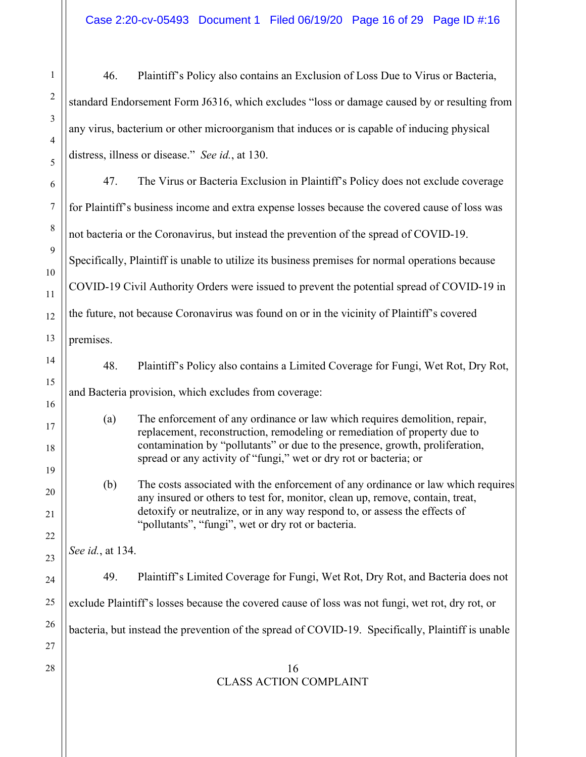46. Plaintiff's Policy also contains an Exclusion of Loss Due to Virus or Bacteria, standard Endorsement Form J6316, which excludes "loss or damage caused by or resulting from any virus, bacterium or other microorganism that induces or is capable of inducing physical distress, illness or disease." *See id.*, at 130.

47. The Virus or Bacteria Exclusion in Plaintiff's Policy does not exclude coverage for Plaintiff's business income and extra expense losses because the covered cause of loss was not bacteria or the Coronavirus, but instead the prevention of the spread of COVID-19. Specifically, Plaintiff is unable to utilize its business premises for normal operations because COVID-19 Civil Authority Orders were issued to prevent the potential spread of COVID-19 in the future, not because Coronavirus was found on or in the vicinity of Plaintiff's covered premises.

48. Plaintiff's Policy also contains a Limited Coverage for Fungi, Wet Rot, Dry Rot, and Bacteria provision, which excludes from coverage:

(a) The enforcement of any ordinance or law which requires demolition, repair, replacement, reconstruction, remodeling or remediation of property due to contamination by "pollutants" or due to the presence, growth, proliferation, spread or any activity of "fungi," wet or dry rot or bacteria; or

(b) The costs associated with the enforcement of any ordinance or law which requires any insured or others to test for, monitor, clean up, remove, contain, treat, detoxify or neutralize, or in any way respond to, or assess the effects of "pollutants", "fungi", wet or dry rot or bacteria.

*See id.*, at 134.

49. Plaintiff's Limited Coverage for Fungi, Wet Rot, Dry Rot, and Bacteria does not exclude Plaintiff's losses because the covered cause of loss was not fungi, wet rot, dry rot, or bacteria, but instead the prevention of the spread of COVID-19. Specifically, Plaintiff is unable

### $28 \parallel$  16 CLASS ACTION COMPLAINT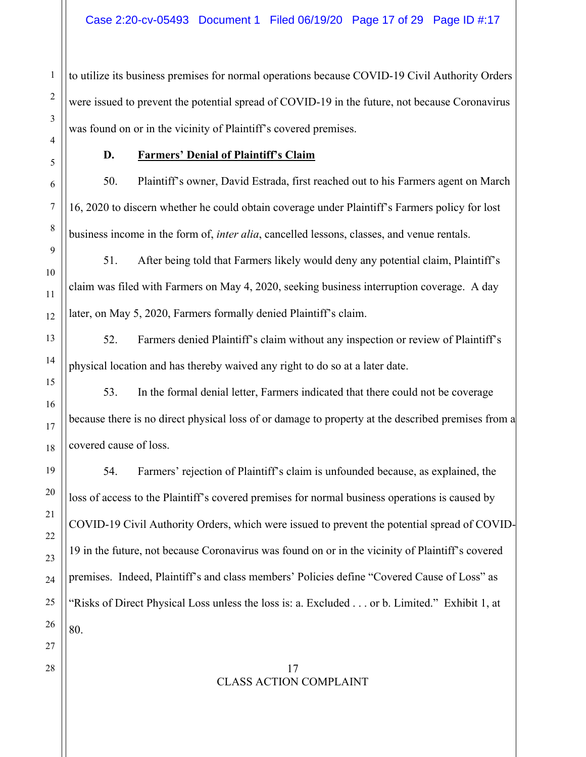to utilize its business premises for normal operations because COVID-19 Civil Authority Orders were issued to prevent the potential spread of COVID-19 in the future, not because Coronavirus was found on or in the vicinity of Plaintiff's covered premises.

## **D. Farmers' Denial of Plaintiff's Claim**

50. Plaintiff's owner, David Estrada, first reached out to his Farmers agent on March 16, 2020 to discern whether he could obtain coverage under Plaintiff's Farmers policy for lost business income in the form of, *inter alia*, cancelled lessons, classes, and venue rentals.

51. After being told that Farmers likely would deny any potential claim, Plaintiff's claim was filed with Farmers on May 4, 2020, seeking business interruption coverage. A day later, on May 5, 2020, Farmers formally denied Plaintiff's claim.

52. Farmers denied Plaintiff's claim without any inspection or review of Plaintiff's physical location and has thereby waived any right to do so at a later date.

53. In the formal denial letter, Farmers indicated that there could not be coverage because there is no direct physical loss of or damage to property at the described premises from a covered cause of loss.

54. Farmers' rejection of Plaintiff's claim is unfounded because, as explained, the loss of access to the Plaintiff's covered premises for normal business operations is caused by COVID-19 Civil Authority Orders, which were issued to prevent the potential spread of COVID-19 in the future, not because Coronavirus was found on or in the vicinity of Plaintiff's covered premises. Indeed, Plaintiff's and class members' Policies define "Covered Cause of Loss" as "Risks of Direct Physical Loss unless the loss is: a. Excluded . . . or b. Limited." Exhibit 1, at 80.

## $28 \parallel$  17 CLASS ACTION COMPLAINT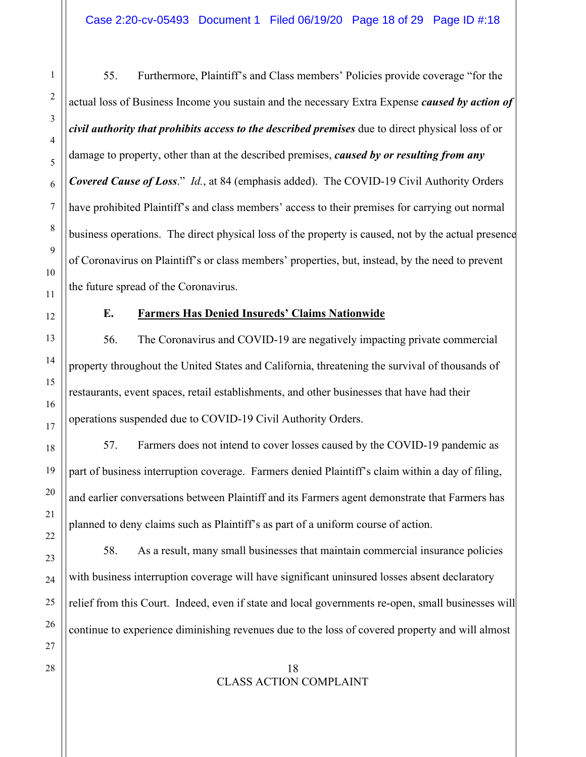55. Furthermore, Plaintiff's and Class members' Policies provide coverage "for the actual loss of Business Income you sustain and the necessary Extra Expense *caused by action of civil authority that prohibits access to the described premises* due to direct physical loss of or damage to property, other than at the described premises, *caused by or resulting from any Covered Cause of Loss*." *Id.*, at 84 (emphasis added). The COVID-19 Civil Authority Orders have prohibited Plaintiff's and class members' access to their premises for carrying out normal business operations. The direct physical loss of the property is caused, not by the actual presence of Coronavirus on Plaintiff's or class members' properties, but, instead, by the need to prevent the future spread of the Coronavirus.

1

2

3

4

5

6

7

8

9

10

11

12

## **E. Farmers Has Denied Insureds' Claims Nationwide**

56. The Coronavirus and COVID-19 are negatively impacting private commercial property throughout the United States and California, threatening the survival of thousands of restaurants, event spaces, retail establishments, and other businesses that have had their operations suspended due to COVID-19 Civil Authority Orders.

57. Farmers does not intend to cover losses caused by the COVID-19 pandemic as part of business interruption coverage. Farmers denied Plaintiff's claim within a day of filing, and earlier conversations between Plaintiff and its Farmers agent demonstrate that Farmers has planned to deny claims such as Plaintiff's as part of a uniform course of action.

58. As a result, many small businesses that maintain commercial insurance policies with business interruption coverage will have significant uninsured losses absent declaratory relief from this Court. Indeed, even if state and local governments re-open, small businesses will continue to experience diminishing revenues due to the loss of covered property and will almost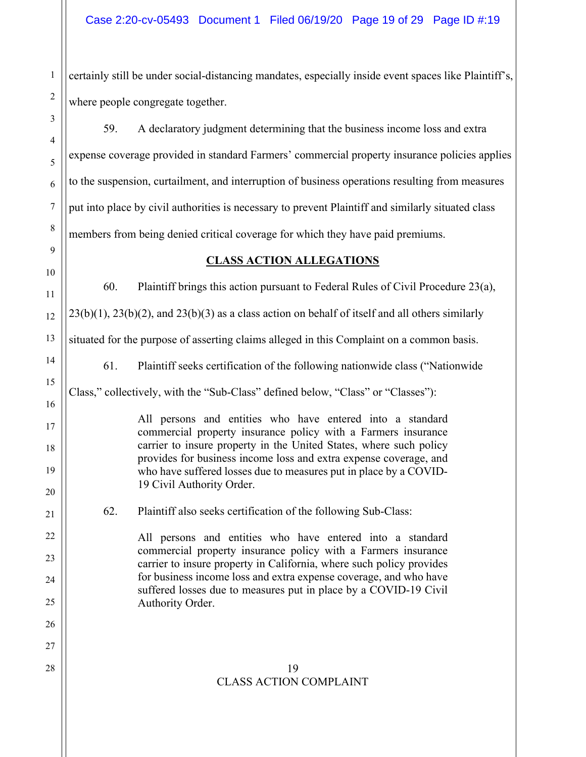certainly still be under social-distancing mandates, especially inside event spaces like Plaintiff's, where people congregate together.

59. A declaratory judgment determining that the business income loss and extra expense coverage provided in standard Farmers' commercial property insurance policies applies to the suspension, curtailment, and interruption of business operations resulting from measures put into place by civil authorities is necessary to prevent Plaintiff and similarly situated class members from being denied critical coverage for which they have paid premiums.

# **CLASS ACTION ALLEGATIONS**

60. Plaintiff brings this action pursuant to Federal Rules of Civil Procedure 23(a),

 $23(b)(1)$ ,  $23(b)(2)$ , and  $23(b)(3)$  as a class action on behalf of itself and all others similarly

situated for the purpose of asserting claims alleged in this Complaint on a common basis.

61. Plaintiff seeks certification of the following nationwide class ("Nationwide

Class," collectively, with the "Sub-Class" defined below, "Class" or "Classes"):

All persons and entities who have entered into a standard commercial property insurance policy with a Farmers insurance carrier to insure property in the United States, where such policy provides for business income loss and extra expense coverage, and who have suffered losses due to measures put in place by a COVID-19 Civil Authority Order.

62. Plaintiff also seeks certification of the following Sub-Class:

All persons and entities who have entered into a standard commercial property insurance policy with a Farmers insurance carrier to insure property in California, where such policy provides for business income loss and extra expense coverage, and who have suffered losses due to measures put in place by a COVID-19 Civil Authority Order.

 $28 \parallel$  19 CLASS ACTION COMPLAINT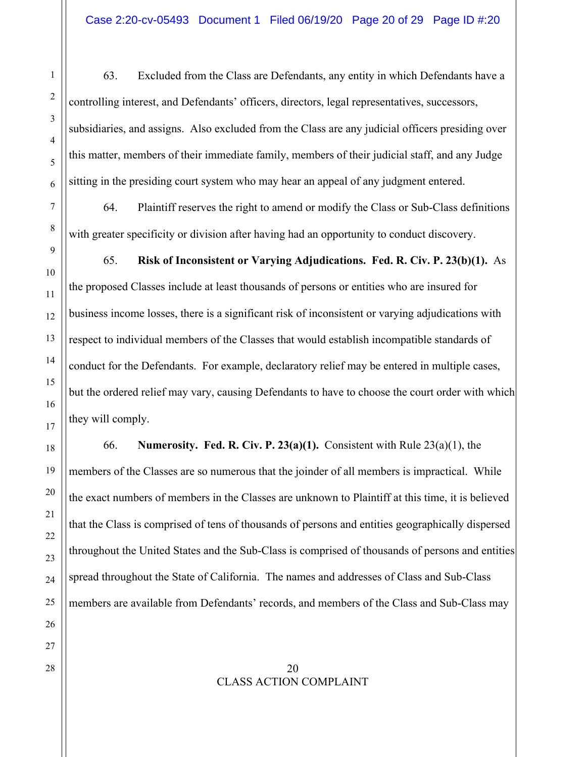63. Excluded from the Class are Defendants, any entity in which Defendants have a controlling interest, and Defendants' officers, directors, legal representatives, successors, subsidiaries, and assigns. Also excluded from the Class are any judicial officers presiding over this matter, members of their immediate family, members of their judicial staff, and any Judge sitting in the presiding court system who may hear an appeal of any judgment entered.

64. Plaintiff reserves the right to amend or modify the Class or Sub-Class definitions with greater specificity or division after having had an opportunity to conduct discovery.

65. **Risk of Inconsistent or Varying Adjudications. Fed. R. Civ. P. 23(b)(1).** As the proposed Classes include at least thousands of persons or entities who are insured for business income losses, there is a significant risk of inconsistent or varying adjudications with respect to individual members of the Classes that would establish incompatible standards of conduct for the Defendants. For example, declaratory relief may be entered in multiple cases, but the ordered relief may vary, causing Defendants to have to choose the court order with which they will comply.

66. **Numerosity. Fed. R. Civ. P. 23(a)(1).** Consistent with Rule 23(a)(1), the members of the Classes are so numerous that the joinder of all members is impractical. While the exact numbers of members in the Classes are unknown to Plaintiff at this time, it is believed that the Class is comprised of tens of thousands of persons and entities geographically dispersed throughout the United States and the Sub-Class is comprised of thousands of persons and entities spread throughout the State of California. The names and addresses of Class and Sub-Class members are available from Defendants' records, and members of the Class and Sub-Class may

### $28 \parallel$  20 CLASS ACTION COMPLAINT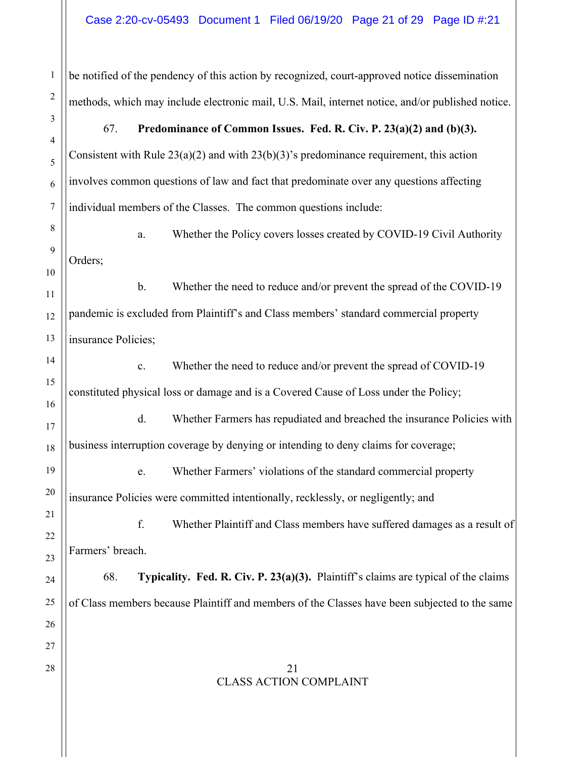1 2 3 4 5 6 7 8 9 10 11 12 13 14 15 16 17 18 19 20 21 22 23 24 25 26 27  $28 \parallel$  21 CLASS ACTION COMPLAINT be notified of the pendency of this action by recognized, court-approved notice dissemination methods, which may include electronic mail, U.S. Mail, internet notice, and/or published notice. 67. **Predominance of Common Issues. Fed. R. Civ. P. 23(a)(2) and (b)(3).**  Consistent with Rule  $23(a)(2)$  and with  $23(b)(3)$ 's predominance requirement, this action involves common questions of law and fact that predominate over any questions affecting individual members of the Classes. The common questions include: a. Whether the Policy covers losses created by COVID-19 Civil Authority Orders; b. Whether the need to reduce and/or prevent the spread of the COVID-19 pandemic is excluded from Plaintiff's and Class members' standard commercial property insurance Policies; c. Whether the need to reduce and/or prevent the spread of COVID-19 constituted physical loss or damage and is a Covered Cause of Loss under the Policy; d. Whether Farmers has repudiated and breached the insurance Policies with business interruption coverage by denying or intending to deny claims for coverage; e. Whether Farmers' violations of the standard commercial property insurance Policies were committed intentionally, recklessly, or negligently; and f. Whether Plaintiff and Class members have suffered damages as a result of Farmers' breach. 68. **Typicality. Fed. R. Civ. P. 23(a)(3).** Plaintiff's claims are typical of the claims of Class members because Plaintiff and members of the Classes have been subjected to the same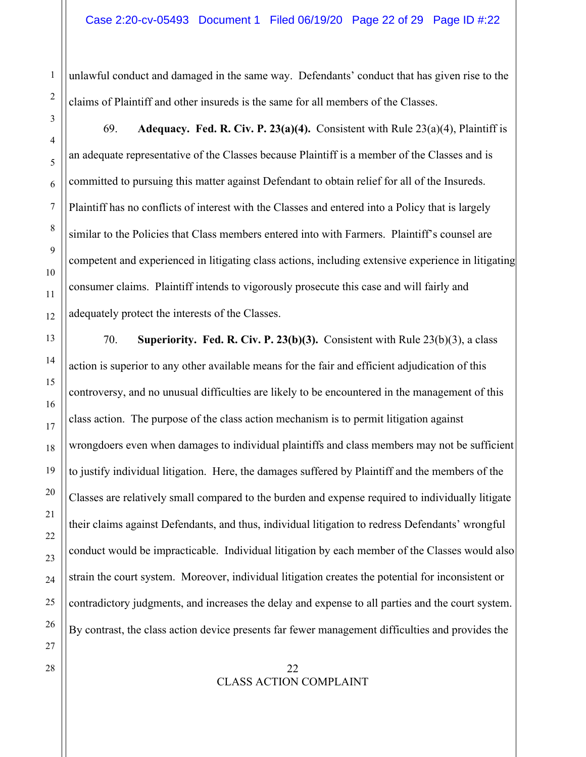unlawful conduct and damaged in the same way. Defendants' conduct that has given rise to the claims of Plaintiff and other insureds is the same for all members of the Classes.

69. **Adequacy. Fed. R. Civ. P. 23(a)(4).** Consistent with Rule 23(a)(4), Plaintiff is an adequate representative of the Classes because Plaintiff is a member of the Classes and is committed to pursuing this matter against Defendant to obtain relief for all of the Insureds. Plaintiff has no conflicts of interest with the Classes and entered into a Policy that is largely similar to the Policies that Class members entered into with Farmers. Plaintiff's counsel are competent and experienced in litigating class actions, including extensive experience in litigating consumer claims. Plaintiff intends to vigorously prosecute this case and will fairly and adequately protect the interests of the Classes.

70. **Superiority. Fed. R. Civ. P. 23(b)(3).** Consistent with Rule 23(b)(3), a class action is superior to any other available means for the fair and efficient adjudication of this controversy, and no unusual difficulties are likely to be encountered in the management of this class action. The purpose of the class action mechanism is to permit litigation against wrongdoers even when damages to individual plaintiffs and class members may not be sufficient to justify individual litigation. Here, the damages suffered by Plaintiff and the members of the Classes are relatively small compared to the burden and expense required to individually litigate their claims against Defendants, and thus, individual litigation to redress Defendants' wrongful conduct would be impracticable. Individual litigation by each member of the Classes would also strain the court system. Moreover, individual litigation creates the potential for inconsistent or contradictory judgments, and increases the delay and expense to all parties and the court system. By contrast, the class action device presents far fewer management difficulties and provides the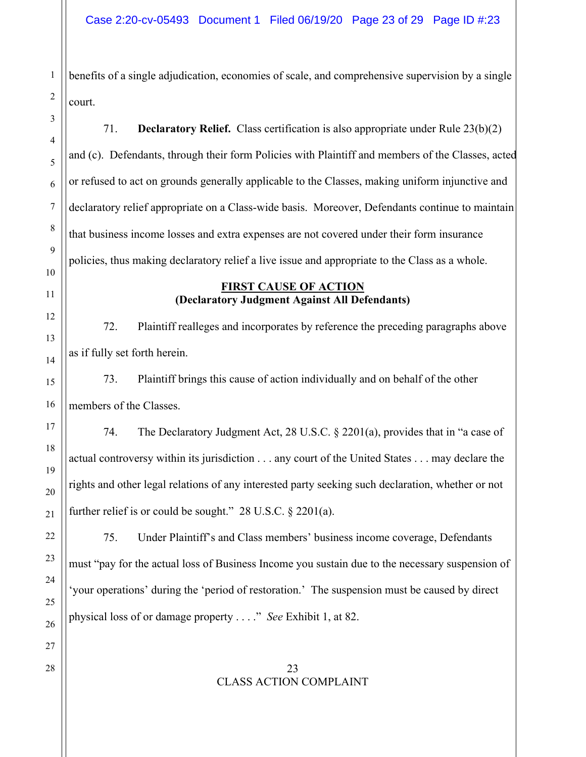benefits of a single adjudication, economies of scale, and comprehensive supervision by a single court.

71. **Declaratory Relief.** Class certification is also appropriate under Rule 23(b)(2) and (c). Defendants, through their form Policies with Plaintiff and members of the Classes, acted or refused to act on grounds generally applicable to the Classes, making uniform injunctive and declaratory relief appropriate on a Class-wide basis. Moreover, Defendants continue to maintain that business income losses and extra expenses are not covered under their form insurance policies, thus making declaratory relief a live issue and appropriate to the Class as a whole.

## **FIRST CAUSE OF ACTION (Declaratory Judgment Against All Defendants)**

72. Plaintiff realleges and incorporates by reference the preceding paragraphs above as if fully set forth herein.

73. Plaintiff brings this cause of action individually and on behalf of the other members of the Classes.

74. The Declaratory Judgment Act, 28 U.S.C. § 2201(a), provides that in "a case of actual controversy within its jurisdiction . . . any court of the United States . . . may declare the rights and other legal relations of any interested party seeking such declaration, whether or not further relief is or could be sought."  $28$  U.S.C.  $\S$  2201(a).

75. Under Plaintiff's and Class members' business income coverage, Defendants must "pay for the actual loss of Business Income you sustain due to the necessary suspension of 'your operations' during the 'period of restoration.' The suspension must be caused by direct physical loss of or damage property . . . ." *See* Exhibit 1, at 82.

## $28 \parallel$  23 CLASS ACTION COMPLAINT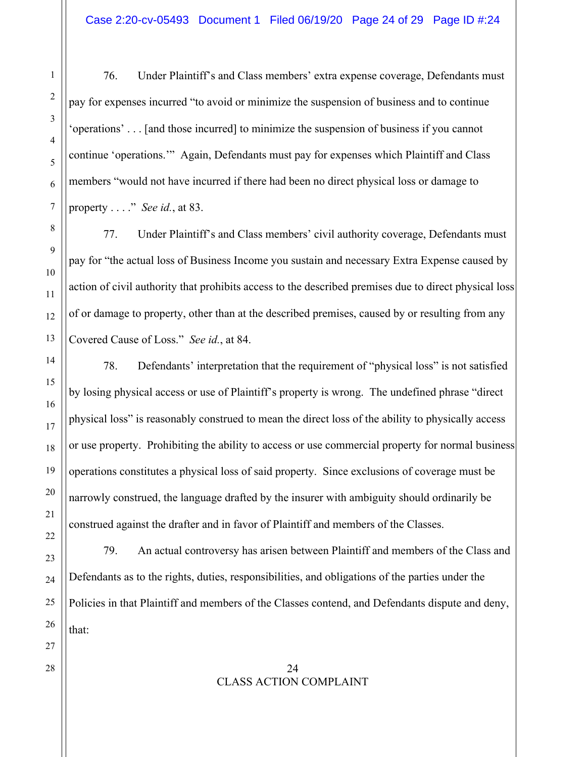76. Under Plaintiff's and Class members' extra expense coverage, Defendants must pay for expenses incurred "to avoid or minimize the suspension of business and to continue 'operations' . . . [and those incurred] to minimize the suspension of business if you cannot continue 'operations.'" Again, Defendants must pay for expenses which Plaintiff and Class members "would not have incurred if there had been no direct physical loss or damage to property . . . ." *See id.*, at 83.

77. Under Plaintiff's and Class members' civil authority coverage, Defendants must pay for "the actual loss of Business Income you sustain and necessary Extra Expense caused by action of civil authority that prohibits access to the described premises due to direct physical loss of or damage to property, other than at the described premises, caused by or resulting from any Covered Cause of Loss." *See id.*, at 84.

78. Defendants' interpretation that the requirement of "physical loss" is not satisfied by losing physical access or use of Plaintiff's property is wrong. The undefined phrase "direct physical loss" is reasonably construed to mean the direct loss of the ability to physically access or use property. Prohibiting the ability to access or use commercial property for normal business operations constitutes a physical loss of said property. Since exclusions of coverage must be narrowly construed, the language drafted by the insurer with ambiguity should ordinarily be construed against the drafter and in favor of Plaintiff and members of the Classes.

79. An actual controversy has arisen between Plaintiff and members of the Class and Defendants as to the rights, duties, responsibilities, and obligations of the parties under the Policies in that Plaintiff and members of the Classes contend, and Defendants dispute and deny, that:

## $28 \parallel$  24 CLASS ACTION COMPLAINT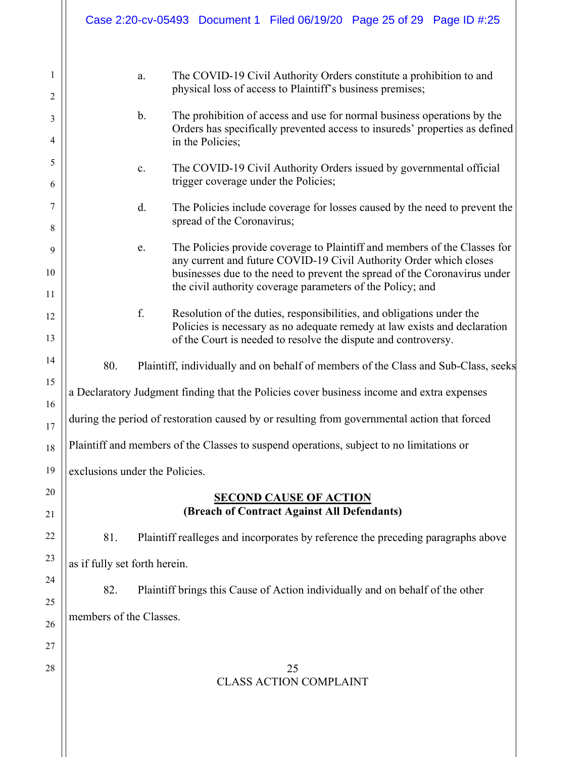|                     |                                                                                                                                                                                             |    | Case 2:20-cv-05493 Document 1 Filed 06/19/20 Page 25 of 29 Page ID #:25                                                                         |                                     |  |  |
|---------------------|---------------------------------------------------------------------------------------------------------------------------------------------------------------------------------------------|----|-------------------------------------------------------------------------------------------------------------------------------------------------|-------------------------------------|--|--|
| 1<br>$\overline{2}$ |                                                                                                                                                                                             | a. | The COVID-19 Civil Authority Orders constitute a prohibition to and<br>physical loss of access to Plaintiff's business premises;                |                                     |  |  |
| 3<br>4              | The prohibition of access and use for normal business operations by the<br>$\mathbf b$ .<br>Orders has specifically prevented access to insureds' properties as defined<br>in the Policies; |    |                                                                                                                                                 |                                     |  |  |
| 5<br>6              | The COVID-19 Civil Authority Orders issued by governmental official<br>c.<br>trigger coverage under the Policies;                                                                           |    |                                                                                                                                                 |                                     |  |  |
| 7<br>8              | d.<br>The Policies include coverage for losses caused by the need to prevent the<br>spread of the Coronavirus;                                                                              |    |                                                                                                                                                 |                                     |  |  |
| 9                   |                                                                                                                                                                                             | e. | The Policies provide coverage to Plaintiff and members of the Classes for<br>any current and future COVID-19 Civil Authority Order which closes |                                     |  |  |
| 10<br>11            | businesses due to the need to prevent the spread of the Coronavirus under<br>the civil authority coverage parameters of the Policy; and                                                     |    |                                                                                                                                                 |                                     |  |  |
| 12                  |                                                                                                                                                                                             | f. | Resolution of the duties, responsibilities, and obligations under the                                                                           |                                     |  |  |
| 13                  |                                                                                                                                                                                             |    | Policies is necessary as no adequate remedy at law exists and declaration<br>of the Court is needed to resolve the dispute and controversy.     |                                     |  |  |
| 14                  | 80.<br>Plaintiff, individually and on behalf of members of the Class and Sub-Class, seeks                                                                                                   |    |                                                                                                                                                 |                                     |  |  |
| 15<br>16            | a Declaratory Judgment finding that the Policies cover business income and extra expenses                                                                                                   |    |                                                                                                                                                 |                                     |  |  |
| 17                  | during the period of restoration caused by or resulting from governmental action that forced                                                                                                |    |                                                                                                                                                 |                                     |  |  |
| 18                  | Plaintiff and members of the Classes to suspend operations, subject to no limitations or                                                                                                    |    |                                                                                                                                                 |                                     |  |  |
| 19                  | exclusions under the Policies.                                                                                                                                                              |    |                                                                                                                                                 |                                     |  |  |
| 20                  | <b>SECOND CAUSE OF ACTION</b><br>(Breach of Contract Against All Defendants)                                                                                                                |    |                                                                                                                                                 |                                     |  |  |
| 21                  |                                                                                                                                                                                             |    |                                                                                                                                                 |                                     |  |  |
| 22<br>23            | 81.<br>Plaintiff realleges and incorporates by reference the preceding paragraphs above                                                                                                     |    |                                                                                                                                                 |                                     |  |  |
| 24                  | as if fully set forth herein.                                                                                                                                                               |    |                                                                                                                                                 |                                     |  |  |
| 25                  | 82.                                                                                                                                                                                         |    | Plaintiff brings this Cause of Action individually and on behalf of the other                                                                   |                                     |  |  |
| 26                  | members of the Classes.                                                                                                                                                                     |    |                                                                                                                                                 |                                     |  |  |
| 27                  |                                                                                                                                                                                             |    |                                                                                                                                                 |                                     |  |  |
| 28                  |                                                                                                                                                                                             |    |                                                                                                                                                 | 25<br><b>CLASS ACTION COMPLAINT</b> |  |  |
|                     |                                                                                                                                                                                             |    |                                                                                                                                                 |                                     |  |  |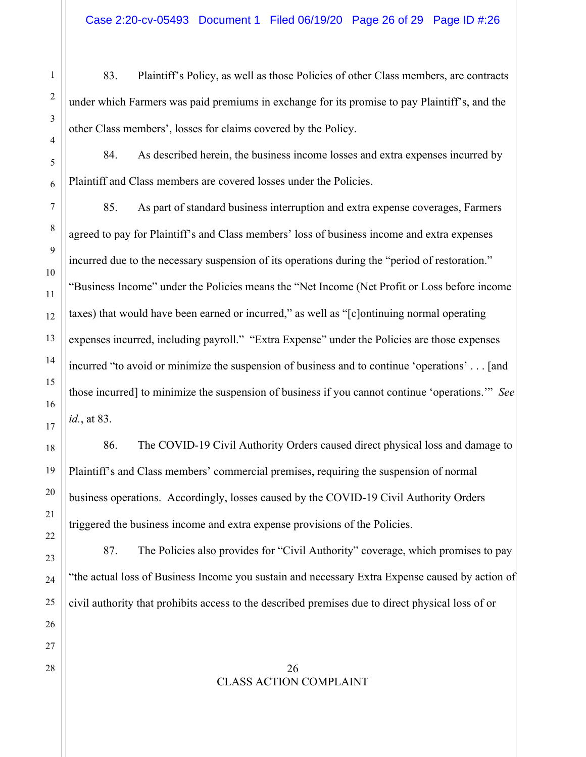83. Plaintiff's Policy, as well as those Policies of other Class members, are contracts under which Farmers was paid premiums in exchange for its promise to pay Plaintiff's, and the other Class members', losses for claims covered by the Policy.

84. As described herein, the business income losses and extra expenses incurred by Plaintiff and Class members are covered losses under the Policies.

85. As part of standard business interruption and extra expense coverages, Farmers agreed to pay for Plaintiff's and Class members' loss of business income and extra expenses incurred due to the necessary suspension of its operations during the "period of restoration." "Business Income" under the Policies means the "Net Income (Net Profit or Loss before income taxes) that would have been earned or incurred," as well as "[c]ontinuing normal operating expenses incurred, including payroll." "Extra Expense" under the Policies are those expenses incurred "to avoid or minimize the suspension of business and to continue 'operations' . . . [and those incurred] to minimize the suspension of business if you cannot continue 'operations.'" *See id.*, at 83.

86. The COVID-19 Civil Authority Orders caused direct physical loss and damage to Plaintiff's and Class members' commercial premises, requiring the suspension of normal business operations. Accordingly, losses caused by the COVID-19 Civil Authority Orders triggered the business income and extra expense provisions of the Policies.

87. The Policies also provides for "Civil Authority" coverage, which promises to pay "the actual loss of Business Income you sustain and necessary Extra Expense caused by action of civil authority that prohibits access to the described premises due to direct physical loss of or

### $28 \parallel$  26 CLASS ACTION COMPLAINT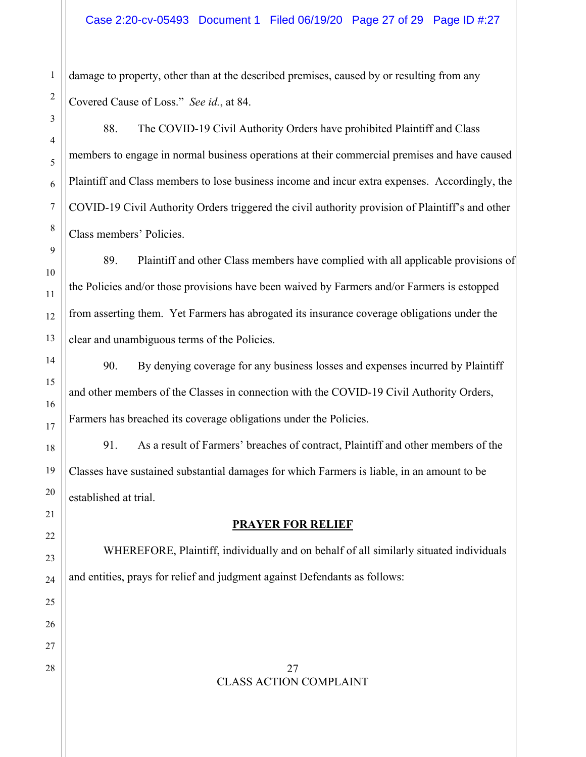damage to property, other than at the described premises, caused by or resulting from any Covered Cause of Loss." *See id.*, at 84.

88. The COVID-19 Civil Authority Orders have prohibited Plaintiff and Class members to engage in normal business operations at their commercial premises and have caused Plaintiff and Class members to lose business income and incur extra expenses. Accordingly, the COVID-19 Civil Authority Orders triggered the civil authority provision of Plaintiff's and other Class members' Policies.

89. Plaintiff and other Class members have complied with all applicable provisions of the Policies and/or those provisions have been waived by Farmers and/or Farmers is estopped from asserting them. Yet Farmers has abrogated its insurance coverage obligations under the clear and unambiguous terms of the Policies.

90. By denying coverage for any business losses and expenses incurred by Plaintiff and other members of the Classes in connection with the COVID-19 Civil Authority Orders, Farmers has breached its coverage obligations under the Policies.

91. As a result of Farmers' breaches of contract, Plaintiff and other members of the Classes have sustained substantial damages for which Farmers is liable, in an amount to be established at trial.

# **PRAYER FOR RELIEF**

 WHEREFORE, Plaintiff, individually and on behalf of all similarly situated individuals and entities, prays for relief and judgment against Defendants as follows:

 $28 \parallel 27$ CLASS ACTION COMPLAINT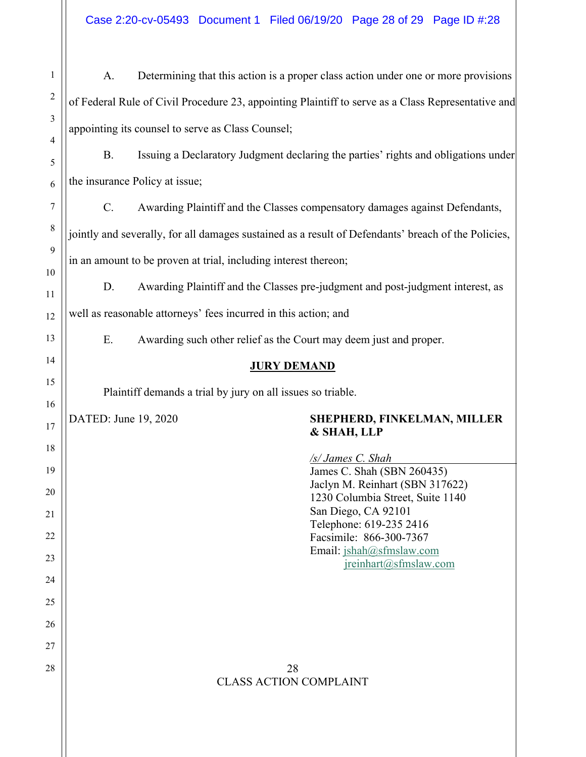Case 2:20-cv-05493 Document 1 Filed 06/19/20 Page 28 of 29 Page ID #:28

| $\mathbf{1}$   | A.                                                                                                  |                                                                                    | Determining that this action is a proper class action under one or more provisions |  |  |
|----------------|-----------------------------------------------------------------------------------------------------|------------------------------------------------------------------------------------|------------------------------------------------------------------------------------|--|--|
| $\overline{c}$ | of Federal Rule of Civil Procedure 23, appointing Plaintiff to serve as a Class Representative and  |                                                                                    |                                                                                    |  |  |
| 3              | appointing its counsel to serve as Class Counsel;                                                   |                                                                                    |                                                                                    |  |  |
| 4<br>5         | <b>B.</b>                                                                                           | Issuing a Declaratory Judgment declaring the parties' rights and obligations under |                                                                                    |  |  |
| 6              | the insurance Policy at issue;                                                                      |                                                                                    |                                                                                    |  |  |
| 7              | $\mathcal{C}$ .                                                                                     |                                                                                    | Awarding Plaintiff and the Classes compensatory damages against Defendants,        |  |  |
| $8\,$          | jointly and severally, for all damages sustained as a result of Defendants' breach of the Policies, |                                                                                    |                                                                                    |  |  |
| 9              | in an amount to be proven at trial, including interest thereon;                                     |                                                                                    |                                                                                    |  |  |
| 10             | D.                                                                                                  |                                                                                    | Awarding Plaintiff and the Classes pre-judgment and post-judgment interest, as     |  |  |
| 11<br>12       | well as reasonable attorneys' fees incurred in this action; and                                     |                                                                                    |                                                                                    |  |  |
| 13             | E.                                                                                                  | Awarding such other relief as the Court may deem just and proper.                  |                                                                                    |  |  |
| 14             | <b>JURY DEMAND</b>                                                                                  |                                                                                    |                                                                                    |  |  |
| 15             | Plaintiff demands a trial by jury on all issues so triable.                                         |                                                                                    |                                                                                    |  |  |
| 16             | DATED: June 19, 2020                                                                                |                                                                                    | SHEPHERD, FINKELMAN, MILLER                                                        |  |  |
| 17<br>18       |                                                                                                     |                                                                                    | & SHAH, LLP                                                                        |  |  |
| 19             |                                                                                                     |                                                                                    | <u>/s/ James C. Shah</u><br>James C. Shah (SBN 260435)                             |  |  |
| 20             |                                                                                                     |                                                                                    | Jaclyn M. Reinhart (SBN 317622)<br>1230 Columbia Street, Suite 1140                |  |  |
| 21             |                                                                                                     |                                                                                    | San Diego, CA 92101<br>Telephone: 619-235 2416                                     |  |  |
| 22             |                                                                                                     |                                                                                    | Facsimile: 866-300-7367<br>Email: jshah@sfmslaw.com                                |  |  |
| 23<br>24       |                                                                                                     |                                                                                    | ireinhart@sfmslaw.com                                                              |  |  |
| 25             |                                                                                                     |                                                                                    |                                                                                    |  |  |
| 26             |                                                                                                     |                                                                                    |                                                                                    |  |  |
| 27             |                                                                                                     |                                                                                    |                                                                                    |  |  |
| 28             |                                                                                                     | 28<br><b>CLASS ACTION COMPLAINT</b>                                                |                                                                                    |  |  |
|                |                                                                                                     |                                                                                    |                                                                                    |  |  |